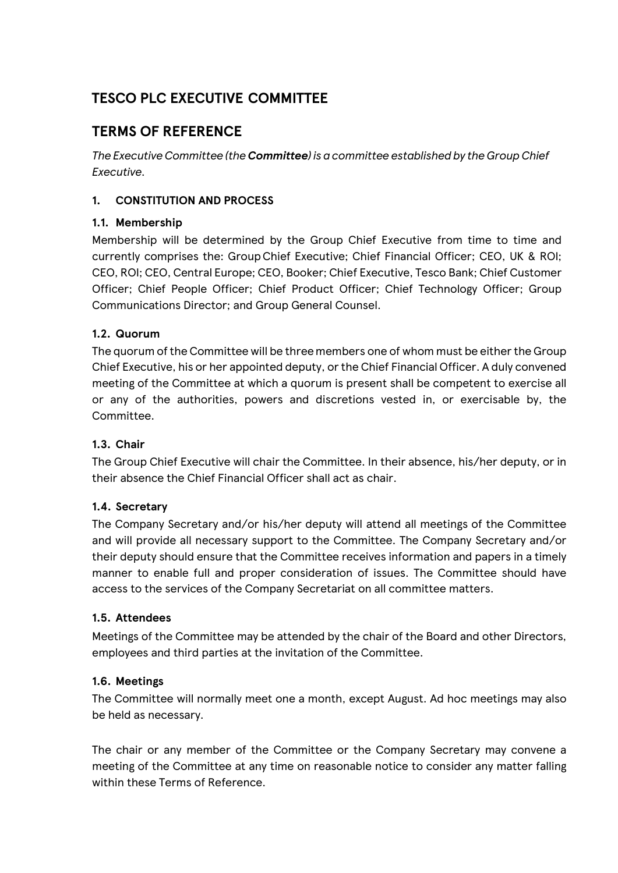# **TESCO PLC EXECUTIVE COMMITTEE**

## **TERMS OF REFERENCE**

*The Executive Committee (the Committee) is a committee established by the Group Chief Executive.*

## **1. CONSTITUTION AND PROCESS**

## **1.1. Membership**

Membership will be determined by the Group Chief Executive from time to time and currently comprises the: GroupChief Executive; Chief Financial Officer; CEO, UK & ROI; CEO, ROI; CEO, Central Europe; CEO, Booker; Chief Executive, Tesco Bank; Chief Customer Officer; Chief People Officer; Chief Product Officer; Chief Technology Officer; Group Communications Director; and Group General Counsel.

## **1.2. Quorum**

The quorum of the Committee will be three members one of whom must be either the Group Chief Executive, his or her appointed deputy, or the Chief Financial Officer. A duly convened meeting of the Committee at which a quorum is present shall be competent to exercise all or any of the authorities, powers and discretions vested in, or exercisable by, the Committee.

#### **1.3. Chair**

The Group Chief Executive will chair the Committee. In their absence, his/her deputy, or in their absence the Chief Financial Officer shall act as chair.

#### **1.4. Secretary**

The Company Secretary and/or his/her deputy will attend all meetings of the Committee and will provide all necessary support to the Committee. The Company Secretary and/or their deputy should ensure that the Committee receives information and papers in a timely manner to enable full and proper consideration of issues. The Committee should have access to the services of the Company Secretariat on all committee matters.

#### **1.5. Attendees**

Meetings of the Committee may be attended by the chair of the Board and other Directors, employees and third parties at the invitation of the Committee.

#### **1.6. Meetings**

The Committee will normally meet one a month, except August. Ad hoc meetings may also be held as necessary.

The chair or any member of the Committee or the Company Secretary may convene a meeting of the Committee at any time on reasonable notice to consider any matter falling within these Terms of Reference.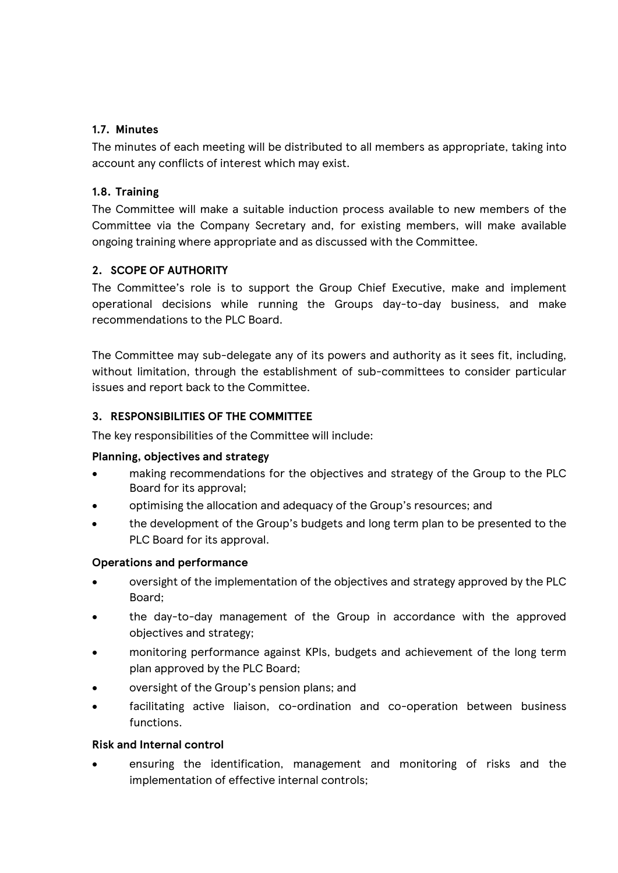#### **1.7. Minutes**

The minutes of each meeting will be distributed to all members as appropriate, taking into account any conflicts of interest which may exist.

#### **1.8. Training**

The Committee will make a suitable induction process available to new members of the Committee via the Company Secretary and, for existing members, will make available ongoing training where appropriate and as discussed with the Committee.

#### **2. SCOPE OF AUTHORITY**

The Committee's role is to support the Group Chief Executive, make and implement operational decisions while running the Groups day-to-day business, and make recommendations to the PLC Board.

The Committee may sub-delegate any of its powers and authority as it sees fit, including, without limitation, through the establishment of sub-committees to consider particular issues and report back to the Committee.

#### **3. RESPONSIBILITIES OF THE COMMITTEE**

The key responsibilities of the Committee will include:

#### **Planning, objectives and strategy**

- making recommendations for the objectives and strategy of the Group to the PLC Board for its approval;
- optimising the allocation and adequacy of the Group's resources; and
- the development of the Group's budgets and long term plan to be presented to the PLC Board for its approval.

#### **Operations and performance**

- oversight of the implementation of the objectives and strategy approved by the PLC Board;
- the day-to-day management of the Group in accordance with the approved objectives and strategy;
- monitoring performance against KPIs, budgets and achievement of the long term plan approved by the PLC Board;
- oversight of the Group's pension plans; and
- facilitating active liaison, co-ordination and co-operation between business functions.

#### **Risk and Internal control**

• ensuring the identification, management and monitoring of risks and the implementation of effective internal controls;